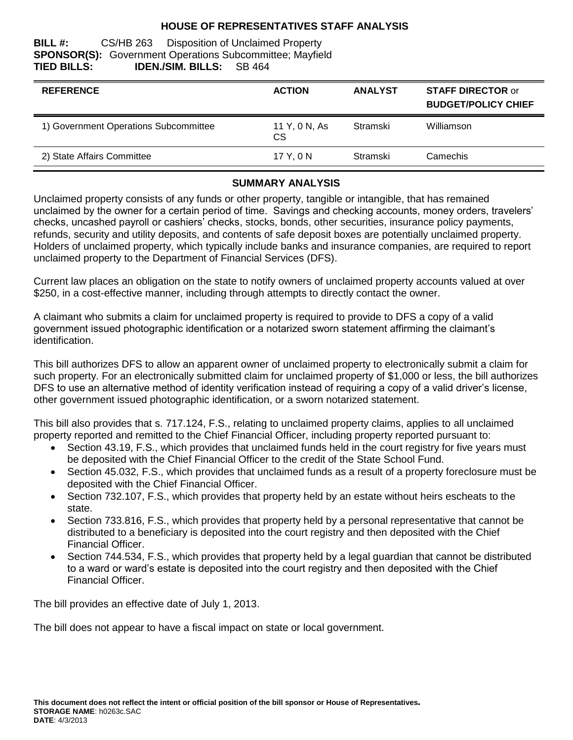## **HOUSE OF REPRESENTATIVES STAFF ANALYSIS**

## **BILL #:** CS/HB 263 Disposition of Unclaimed Property **SPONSOR(S):** Government Operations Subcommittee; Mayfield **TIED BILLS: IDEN./SIM. BILLS:** SB 464

| <b>REFERENCE</b>                      | <b>ACTION</b>              | <b>ANALYST</b> | <b>STAFF DIRECTOR or</b><br><b>BUDGET/POLICY CHIEF</b> |
|---------------------------------------|----------------------------|----------------|--------------------------------------------------------|
| 1) Government Operations Subcommittee | 11 Y, 0 N, As<br><b>CS</b> | Stramski       | Williamson                                             |
| 2) State Affairs Committee            | 17 Y.ON                    | Stramski       | Camechis                                               |

## **SUMMARY ANALYSIS**

Unclaimed property consists of any funds or other property, tangible or intangible, that has remained unclaimed by the owner for a certain period of time. Savings and checking accounts, money orders, travelers' checks, uncashed payroll or cashiers' checks, stocks, bonds, other securities, insurance policy payments, refunds, security and utility deposits, and contents of safe deposit boxes are potentially unclaimed property. Holders of unclaimed property, which typically include banks and insurance companies, are required to report unclaimed property to the Department of Financial Services (DFS).

Current law places an obligation on the state to notify owners of unclaimed property accounts valued at over \$250, in a cost-effective manner, including through attempts to directly contact the owner.

A claimant who submits a claim for unclaimed property is required to provide to DFS a copy of a valid government issued photographic identification or a notarized sworn statement affirming the claimant's identification.

This bill authorizes DFS to allow an apparent owner of unclaimed property to electronically submit a claim for such property. For an electronically submitted claim for unclaimed property of \$1,000 or less, the bill authorizes DFS to use an alternative method of identity verification instead of requiring a copy of a valid driver's license, other government issued photographic identification, or a sworn notarized statement.

This bill also provides that s. 717.124, F.S., relating to unclaimed property claims, applies to all unclaimed property reported and remitted to the Chief Financial Officer, including property reported pursuant to:

- Section 43.19, F.S., which provides that unclaimed funds held in the court registry for five years must be deposited with the Chief Financial Officer to the credit of the State School Fund.
- Section 45.032, F.S., which provides that unclaimed funds as a result of a property foreclosure must be deposited with the Chief Financial Officer.
- Section 732.107, F.S., which provides that property held by an estate without heirs escheats to the state.
- Section 733.816, F.S., which provides that property held by a personal representative that cannot be distributed to a beneficiary is deposited into the court registry and then deposited with the Chief Financial Officer.
- Section 744.534, F.S., which provides that property held by a legal guardian that cannot be distributed to a ward or ward's estate is deposited into the court registry and then deposited with the Chief Financial Officer.

The bill provides an effective date of July 1, 2013.

The bill does not appear to have a fiscal impact on state or local government.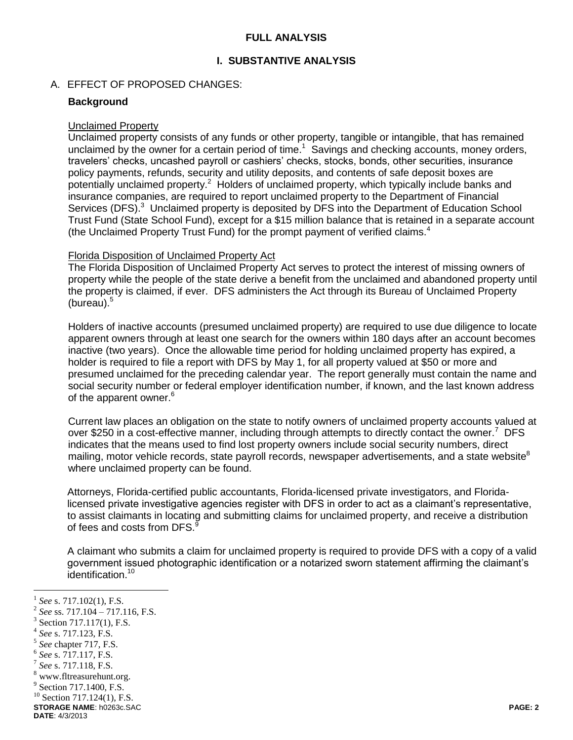## **FULL ANALYSIS**

## **I. SUBSTANTIVE ANALYSIS**

#### A. EFFECT OF PROPOSED CHANGES:

### **Background**

#### Unclaimed Property

Unclaimed property consists of any funds or other property, tangible or intangible, that has remained unclaimed by the owner for a certain period of time.<sup>1</sup> Savings and checking accounts, money orders, travelers' checks, uncashed payroll or cashiers' checks, stocks, bonds, other securities, insurance policy payments, refunds, security and utility deposits, and contents of safe deposit boxes are potentially unclaimed property.<sup>2</sup> Holders of unclaimed property, which typically include banks and insurance companies, are required to report unclaimed property to the Department of Financial Services (DFS).<sup>3</sup> Unclaimed property is deposited by DFS into the Department of Education School Trust Fund (State School Fund), except for a \$15 million balance that is retained in a separate account (the Unclaimed Property Trust Fund) for the prompt payment of verified claims.<sup>4</sup>

#### Florida Disposition of Unclaimed Property Act

The Florida Disposition of Unclaimed Property Act serves to protect the interest of missing owners of property while the people of the state derive a benefit from the unclaimed and abandoned property until the property is claimed, if ever. DFS administers the Act through its Bureau of Unclaimed Property (bureau). $5$ 

Holders of inactive accounts (presumed unclaimed property) are required to use due diligence to locate apparent owners through at least one search for the owners within 180 days after an account becomes inactive (two years). Once the allowable time period for holding unclaimed property has expired, a holder is required to file a report with DFS by May 1, for all property valued at \$50 or more and presumed unclaimed for the preceding calendar year. The report generally must contain the name and social security number or federal employer identification number, if known, and the last known address of the apparent owner.<sup>6</sup>

Current law places an obligation on the state to notify owners of unclaimed property accounts valued at over \$250 in a cost-effective manner, including through attempts to directly contact the owner.<sup>7</sup> DFS indicates that the means used to find lost property owners include social security numbers, direct mailing, motor vehicle records, state payroll records, newspaper advertisements, and a state website<sup>8</sup> where unclaimed property can be found.

Attorneys, Florida-certified public accountants, Florida-licensed private investigators, and Floridalicensed private investigative agencies register with DFS in order to act as a claimant's representative, to assist claimants in locating and submitting claims for unclaimed property, and receive a distribution of fees and costs from DFS.<sup>9</sup>

A claimant who submits a claim for unclaimed property is required to provide DFS with a copy of a valid government issued photographic identification or a notarized sworn statement affirming the claimant's identification.<sup>10</sup>

 $\overline{a}$ 

<sup>1</sup> *See* s. 717.102(1), F.S.

<sup>2</sup> *See* ss. 717.104 – 717.116, F.S.

<sup>3</sup> Section 717.117(1), F.S.

<sup>4</sup> *See* s. 717.123, F.S.

<sup>5</sup> *See* chapter 717, F.S.

<sup>6</sup> *See* s. 717.117, F.S.

<sup>7</sup> *See* s. 717.118, F.S.

www.fltreasurehunt.org.

<sup>&</sup>lt;sup>9</sup> Section 717.1400, F.S.

 $10$  Section 717.124(1), F.S.

**STORAGE NAME**: h0263c.SAC **PAGE: 2**

**DATE**: 4/3/2013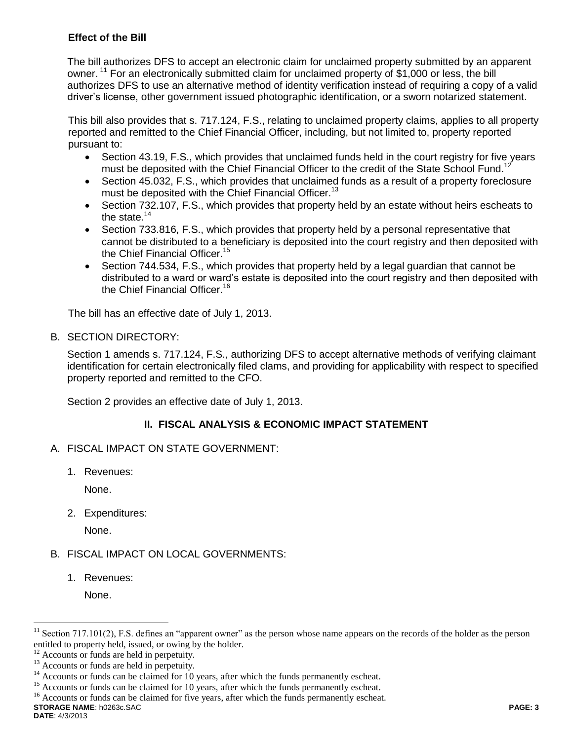# **Effect of the Bill**

The bill authorizes DFS to accept an electronic claim for unclaimed property submitted by an apparent owner. <sup>11</sup> For an electronically submitted claim for unclaimed property of \$1,000 or less, the bill authorizes DFS to use an alternative method of identity verification instead of requiring a copy of a valid driver's license, other government issued photographic identification, or a sworn notarized statement.

This bill also provides that s. 717.124, F.S., relating to unclaimed property claims, applies to all property reported and remitted to the Chief Financial Officer, including, but not limited to, property reported pursuant to:

- Section 43.19, F.S., which provides that unclaimed funds held in the court registry for five years must be deposited with the Chief Financial Officer to the credit of the State School Fund.<sup>11</sup>
- Section 45.032, F.S., which provides that unclaimed funds as a result of a property foreclosure must be deposited with the Chief Financial Officer.<sup>13</sup>
- Section 732.107, F.S., which provides that property held by an estate without heirs escheats to the state. $14$
- Section 733.816, F.S., which provides that property held by a personal representative that cannot be distributed to a beneficiary is deposited into the court registry and then deposited with the Chief Financial Officer.<sup>15</sup>
- Section 744.534, F.S., which provides that property held by a legal guardian that cannot be distributed to a ward or ward's estate is deposited into the court registry and then deposited with the Chief Financial Officer.<sup>16</sup>

The bill has an effective date of July 1, 2013.

B. SECTION DIRECTORY:

Section 1 amends s. 717.124, F.S., authorizing DFS to accept alternative methods of verifying claimant identification for certain electronically filed clams, and providing for applicability with respect to specified property reported and remitted to the CFO.

Section 2 provides an effective date of July 1, 2013.

# **II. FISCAL ANALYSIS & ECONOMIC IMPACT STATEMENT**

- A. FISCAL IMPACT ON STATE GOVERNMENT:
	- 1. Revenues:

None.

2. Expenditures:

None.

# B. FISCAL IMPACT ON LOCAL GOVERNMENTS:

1. Revenues:

None.

 $\overline{a}$ 

Section 717.101(2), F.S. defines an "apparent owner" as the person whose name appears on the records of the holder as the person entitled to property held, issued, or owing by the holder.

<sup>&</sup>lt;sup>12</sup> Accounts or funds are held in perpetuity.

 $^{13}$  Accounts or funds are held in perpetuity.

Accounts or funds can be claimed for 10 years, after which the funds permanently escheat.

<sup>&</sup>lt;sup>15</sup> Accounts or funds can be claimed for 10 years, after which the funds permanently escheat.

**STORAGE NAME**: h0263c.SAC **PAGE: 3** <sup>16</sup> Accounts or funds can be claimed for five years, after which the funds permanently escheat.